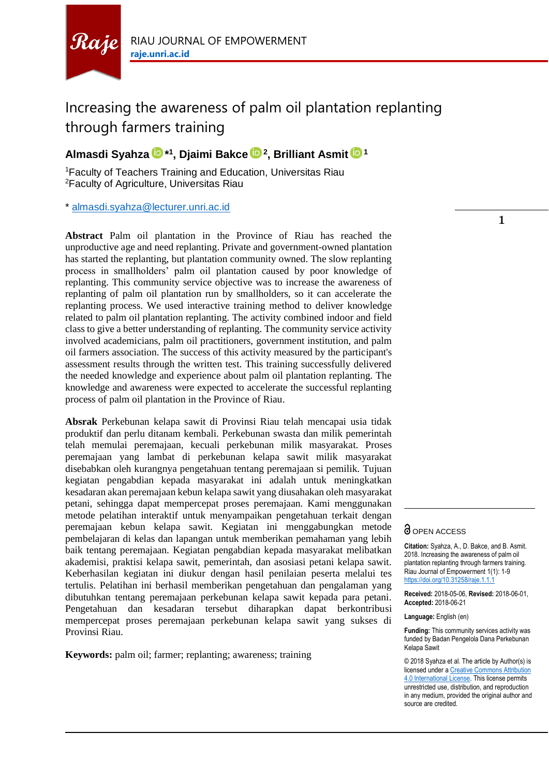

# Increasing the awareness of palm oil plantation replanting through farmers training

## **Almasdi Syahza \* 1 , Djaimi Bakce <sup>2</sup> , Brilliant Asmit <sup>1</sup>**

<sup>1</sup>Faculty of Teachers Training and Education, Universitas Riau <sup>2</sup>Faculty of Agriculture, Universitas Riau

\* [almasdi.syahza@lecturer.unri.ac.id](mailto:almasdi.syahza@lecturer.unri.ac.id)

**Abstract** Palm oil plantation in the Province of Riau has reached the unproductive age and need replanting. Private and government-owned plantation has started the replanting, but plantation community owned. The slow replanting process in smallholders' palm oil plantation caused by poor knowledge of replanting. This community service objective was to increase the awareness of replanting of palm oil plantation run by smallholders, so it can accelerate the replanting process. We used interactive training method to deliver knowledge related to palm oil plantation replanting. The activity combined indoor and field class to give a better understanding of replanting. The community service activity involved academicians, palm oil practitioners, government institution, and palm oil farmers association. The success of this activity measured by the participant's assessment results through the written test. This training successfully delivered the needed knowledge and experience about palm oil plantation replanting. The knowledge and awareness were expected to accelerate the successful replanting process of palm oil plantation in the Province of Riau.

**Absrak** Perkebunan kelapa sawit di Provinsi Riau telah mencapai usia tidak produktif dan perlu ditanam kembali. Perkebunan swasta dan milik pemerintah telah memulai peremajaan, kecuali perkebunan milik masyarakat. Proses peremajaan yang lambat di perkebunan kelapa sawit milik masyarakat disebabkan oleh kurangnya pengetahuan tentang peremajaan si pemilik. Tujuan kegiatan pengabdian kepada masyarakat ini adalah untuk meningkatkan kesadaran akan peremajaan kebun kelapa sawit yang diusahakan oleh masyarakat petani, sehingga dapat mempercepat proses peremajaan. Kami menggunakan metode pelatihan interaktif untuk menyampaikan pengetahuan terkait dengan peremajaan kebun kelapa sawit. Kegiatan ini menggabungkan metode pembelajaran di kelas dan lapangan untuk memberikan pemahaman yang lebih baik tentang peremajaan. Kegiatan pengabdian kepada masyarakat melibatkan akademisi, praktisi kelapa sawit, pemerintah, dan asosiasi petani kelapa sawit. Keberhasilan kegiatan ini diukur dengan hasil penilaian peserta melalui tes tertulis. Pelatihan ini berhasil memberikan pengetahuan dan pengalaman yang dibutuhkan tentang peremajaan perkebunan kelapa sawit kepada para petani. Pengetahuan dan kesadaran tersebut diharapkan dapat berkontribusi mempercepat proses peremajaan perkebunan kelapa sawit yang sukses di Provinsi Riau.

**Keywords:** palm oil; farmer; replanting; awareness; training

## **O** OPEN ACCESS

**Citation:** Syahza, A., D. Bakce, and B. Asmit. 2018. Increasing the awareness of palm oil plantation replanting through farmers training. Riau Journal of Empowerment 1(1): 1-9 <https://doi.org/10.31258/raje.1.1.1>

**Received:** 2018-05-06, **Revised:** 2018-06-01, **Accepted:** 2018-06-21

**Language:** English (en)

**Funding:** This community services activity was funded by Badan Pengelola Dana Perkebunan Kelapa Sawit

© 2018 Syahza et al. The article by Author(s) is licensed under [a Creative Commons Attribution](https://creativecommons.org/licenses/by/4.0/)  [4.0 International License.](https://creativecommons.org/licenses/by/4.0/) This license permits unrestricted use, distribution, and reproduction in any medium, provided the original author and source are credited.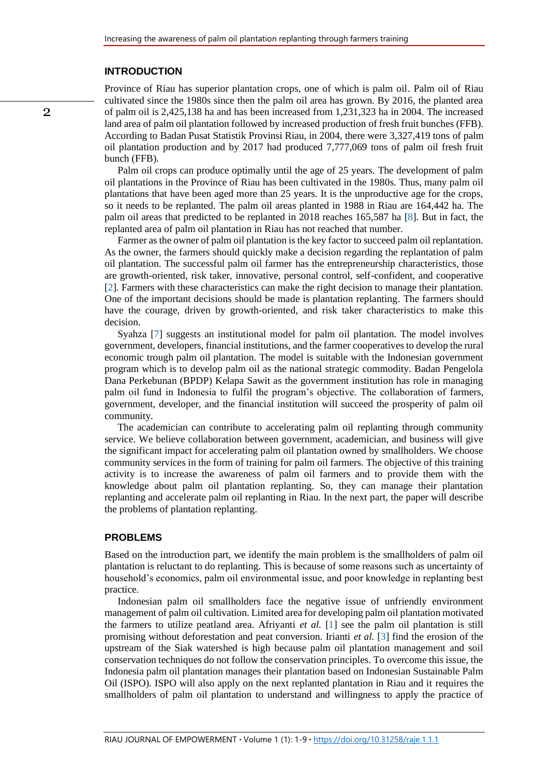#### **INTRODUCTION**

Province of Riau has superior plantation crops, one of which is palm oil. Palm oil of Riau cultivated since the 1980s since then the palm oil area has grown. By 2016, the planted area of palm oil is 2,425,138 ha and has been increased from 1,231,323 ha in 2004. The increased land area of palm oil plantation followed by increased production of fresh fruit bunches (FFB). According to Badan Pusat Statistik Provinsi Riau, in 2004, there were 3,327,419 tons of palm oil plantation production and by 2017 had produced 7,777,069 tons of palm oil fresh fruit bunch (FFB).

Palm oil crops can produce optimally until the age of 25 years. The development of palm oil plantations in the Province of Riau has been cultivated in the 1980s. Thus, many palm oil plantations that have been aged more than 25 years. It is the unproductive age for the crops, so it needs to be replanted. The palm oil areas planted in 1988 in Riau are 164,442 ha. The palm oil areas that predicted to be replanted in 2018 reaches 165,587 ha [\[8\]](#page-8-0). But in fact, the replanted area of palm oil plantation in Riau has not reached that number.

Farmer as the owner of palm oil plantation is the key factor to succeed palm oil replantation. As the owner, the farmers should quickly make a decision regarding the replantation of palm oil plantation. The successful palm oil farmer has the entrepreneurship characteristics, those are growth-oriented, risk taker, innovative, personal control, self-confident, and cooperative [\[2\]](#page-8-1). Farmers with these characteristics can make the right decision to manage their plantation. One of the important decisions should be made is plantation replanting. The farmers should have the courage, driven by growth-oriented, and risk taker characteristics to make this decision.

Syahza [\[7\]](#page-8-2) suggests an institutional model for palm oil plantation. The model involves government, developers, financial institutions, and the farmer cooperatives to develop the rural economic trough palm oil plantation. The model is suitable with the Indonesian government program which is to develop palm oil as the national strategic commodity. Badan Pengelola Dana Perkebunan (BPDP) Kelapa Sawit as the government institution has role in managing palm oil fund in Indonesia to fulfil the program's objective. The collaboration of farmers, government, developer, and the financial institution will succeed the prosperity of palm oil community.

The academician can contribute to accelerating palm oil replanting through community service. We believe collaboration between government, academician, and business will give the significant impact for accelerating palm oil plantation owned by smallholders. We choose community services in the form of training for palm oil farmers. The objective of this training activity is to increase the awareness of palm oil farmers and to provide them with the knowledge about palm oil plantation replanting. So, they can manage their plantation replanting and accelerate palm oil replanting in Riau. In the next part, the paper will describe the problems of plantation replanting.

#### **PROBLEMS**

Based on the introduction part, we identify the main problem is the smallholders of palm oil plantation is reluctant to do replanting. This is because of some reasons such as uncertainty of household's economics, palm oil environmental issue, and poor knowledge in replanting best practice.

Indonesian palm oil smallholders face the negative issue of unfriendly environment management of palm oil cultivation. Limited area for developing palm oil plantation motivated the farmers to utilize peatland area. Afriyanti *et al.* [\[1\]](#page-8-3) see the palm oil plantation is still promising without deforestation and peat conversion. Irianti *et al.* [\[3\]](#page-8-4) find the erosion of the upstream of the Siak watershed is high because palm oil plantation management and soil conservation techniques do not follow the conservation principles. To overcome this issue, the Indonesia palm oil plantation manages their plantation based on Indonesian Sustainable Palm Oil (ISPO). ISPO will also apply on the next replanted plantation in Riau and it requires the smallholders of palm oil plantation to understand and willingness to apply the practice of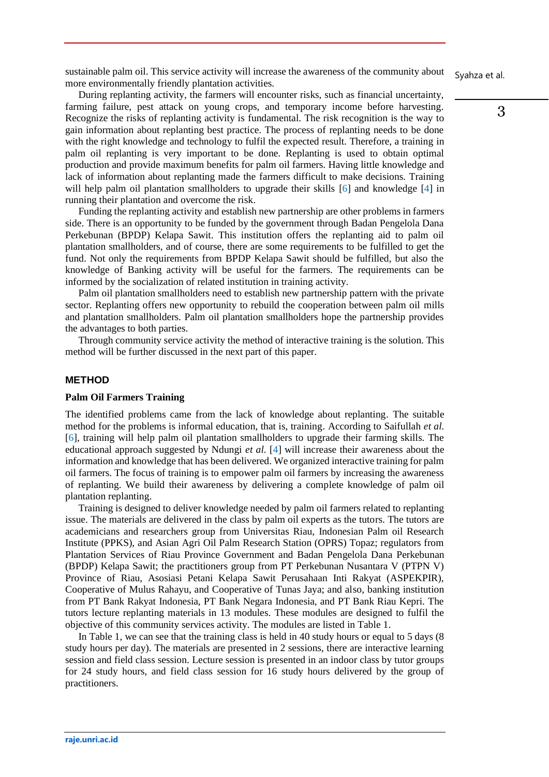sustainable palm oil. This service activity will increase the awareness of the community about more environmentally friendly plantation activities.

During replanting activity, the farmers will encounter risks, such as financial uncertainty, farming failure, pest attack on young crops, and temporary income before harvesting. Recognize the risks of replanting activity is fundamental. The risk recognition is the way to gain information about replanting best practice. The process of replanting needs to be done with the right knowledge and technology to fulfil the expected result. Therefore, a training in palm oil replanting is very important to be done. Replanting is used to obtain optimal production and provide maximum benefits for palm oil farmers. Having little knowledge and lack of information about replanting made the farmers difficult to make decisions. Training will help palm oil plantation smallholders to upgrade their skills [\[6\]](#page-8-5) and knowledge [\[4\]](#page-8-6) in running their plantation and overcome the risk.

Funding the replanting activity and establish new partnership are other problems in farmers side. There is an opportunity to be funded by the government through Badan Pengelola Dana Perkebunan (BPDP) Kelapa Sawit. This institution offers the replanting aid to palm oil plantation smallholders, and of course, there are some requirements to be fulfilled to get the fund. Not only the requirements from BPDP Kelapa Sawit should be fulfilled, but also the knowledge of Banking activity will be useful for the farmers. The requirements can be informed by the socialization of related institution in training activity.

Palm oil plantation smallholders need to establish new partnership pattern with the private sector. Replanting offers new opportunity to rebuild the cooperation between palm oil mills and plantation smallholders. Palm oil plantation smallholders hope the partnership provides the advantages to both parties.

Through community service activity the method of interactive training is the solution. This method will be further discussed in the next part of this paper.

### **METHOD**

### **Palm Oil Farmers Training**

The identified problems came from the lack of knowledge about replanting. The suitable method for the problems is informal education, that is, training. According to Saifullah *et al.* [\[6\]](#page-8-5), training will help palm oil plantation smallholders to upgrade their farming skills. The educational approach suggested by Ndungi *et al.* [\[4\]](#page-8-6) will increase their awareness about the information and knowledge that has been delivered. We organized interactive training for palm oil farmers. The focus of training is to empower palm oil farmers by increasing the awareness of replanting. We build their awareness by delivering a complete knowledge of palm oil plantation replanting.

Training is designed to deliver knowledge needed by palm oil farmers related to replanting issue. The materials are delivered in the class by palm oil experts as the tutors. The tutors are academicians and researchers group from Universitas Riau, Indonesian Palm oil Research Institute (PPKS), and Asian Agri Oil Palm Research Station (OPRS) Topaz; regulators from Plantation Services of Riau Province Government and Badan Pengelola Dana Perkebunan (BPDP) Kelapa Sawit; the practitioners group from PT Perkebunan Nusantara V (PTPN V) Province of Riau, Asosiasi Petani Kelapa Sawit Perusahaan Inti Rakyat (ASPEKPIR), Cooperative of Mulus Rahayu, and Cooperative of Tunas Jaya; and also, banking institution from PT Bank Rakyat Indonesia, PT Bank Negara Indonesia, and PT Bank Riau Kepri. The tutors lecture replanting materials in 13 modules. These modules are designed to fulfil the objective of this community services activity. The modules are listed in Table 1.

In Table 1, we can see that the training class is held in 40 study hours or equal to 5 days (8) study hours per day). The materials are presented in 2 sessions, there are interactive learning session and field class session. Lecture session is presented in an indoor class by tutor groups for 24 study hours, and field class session for 16 study hours delivered by the group of practitioners.

Syahza et al.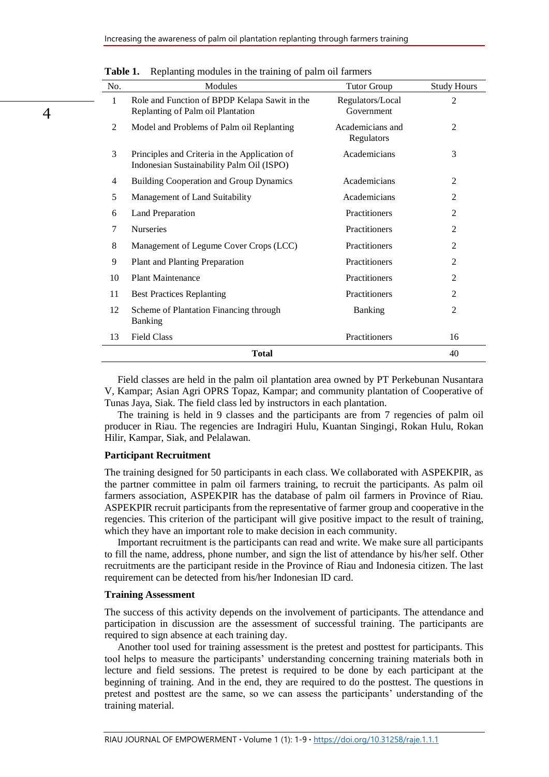| No. | Modules                                                                                    | <b>Tutor Group</b>             | <b>Study Hours</b> |
|-----|--------------------------------------------------------------------------------------------|--------------------------------|--------------------|
| 1   | Role and Function of BPDP Kelapa Sawit in the<br>Replanting of Palm oil Plantation         | Regulators/Local<br>Government | $\overline{2}$     |
| 2   | Model and Problems of Palm oil Replanting                                                  | Academicians and<br>Regulators | $\overline{2}$     |
| 3   | Principles and Criteria in the Application of<br>Indonesian Sustainability Palm Oil (ISPO) | Academicians                   | 3                  |
| 4   | <b>Building Cooperation and Group Dynamics</b>                                             | Academicians                   | $\overline{2}$     |
| 5   | Management of Land Suitability                                                             | Academicians                   | $\overline{2}$     |
| 6   | <b>Land Preparation</b>                                                                    | Practitioners                  | $\overline{2}$     |
| 7   | Nurseries                                                                                  | Practitioners                  | $\overline{2}$     |
| 8   | Management of Legume Cover Crops (LCC)                                                     | Practitioners                  | $\overline{2}$     |
| 9   | Plant and Planting Preparation                                                             | Practitioners                  | $\overline{2}$     |
| 10  | <b>Plant Maintenance</b>                                                                   | Practitioners                  | $\overline{2}$     |
| 11  | <b>Best Practices Replanting</b>                                                           | Practitioners                  | $\overline{2}$     |
| 12  | Scheme of Plantation Financing through<br><b>Banking</b>                                   | Banking                        | $\overline{2}$     |
| 13  | <b>Field Class</b>                                                                         | Practitioners                  | 16                 |
|     | 40                                                                                         |                                |                    |

**Table 1.** Replanting modules in the training of palm oil farmers

Field classes are held in the palm oil plantation area owned by PT Perkebunan Nusantara V, Kampar; Asian Agri OPRS Topaz, Kampar; and community plantation of Cooperative of Tunas Jaya, Siak. The field class led by instructors in each plantation.

The training is held in 9 classes and the participants are from 7 regencies of palm oil producer in Riau. The regencies are Indragiri Hulu, Kuantan Singingi, Rokan Hulu, Rokan Hilir, Kampar, Siak, and Pelalawan.

#### **Participant Recruitment**

4

The training designed for 50 participants in each class. We collaborated with ASPEKPIR, as the partner committee in palm oil farmers training, to recruit the participants. As palm oil farmers association, ASPEKPIR has the database of palm oil farmers in Province of Riau. ASPEKPIR recruit participants from the representative of farmer group and cooperative in the regencies. This criterion of the participant will give positive impact to the result of training, which they have an important role to make decision in each community.

Important recruitment is the participants can read and write. We make sure all participants to fill the name, address, phone number, and sign the list of attendance by his/her self. Other recruitments are the participant reside in the Province of Riau and Indonesia citizen. The last requirement can be detected from his/her Indonesian ID card.

### **Training Assessment**

The success of this activity depends on the involvement of participants. The attendance and participation in discussion are the assessment of successful training. The participants are required to sign absence at each training day.

Another tool used for training assessment is the pretest and posttest for participants. This tool helps to measure the participants' understanding concerning training materials both in lecture and field sessions. The pretest is required to be done by each participant at the beginning of training. And in the end, they are required to do the posttest. The questions in pretest and posttest are the same, so we can assess the participants' understanding of the training material.

RIAU JOURNAL OF EMPOWERMENT **∙** Volume 1 (1): 1-9 **∙** <https://doi.org/10.31258/raje.1.1.1>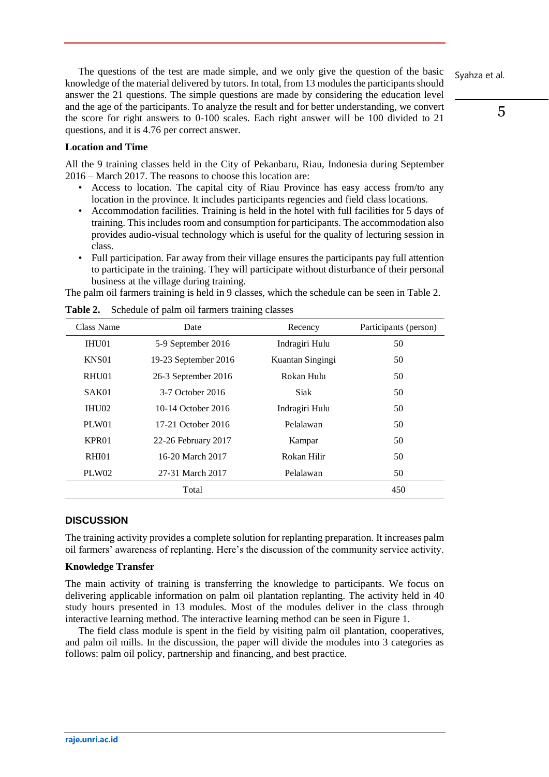Syahza et al.

The questions of the test are made simple, and we only give the question of the basic knowledge of the material delivered by tutors. In total, from 13 modules the participants should answer the 21 questions. The simple questions are made by considering the education level and the age of the participants. To analyze the result and for better understanding, we convert the score for right answers to 0-100 scales. Each right answer will be 100 divided to 21 questions, and it is 4.76 per correct answer.

## **Location and Time**

All the 9 training classes held in the City of Pekanbaru, Riau, Indonesia during September 2016 – March 2017. The reasons to choose this location are:

- Access to location. The capital city of Riau Province has easy access from/to any location in the province. It includes participants regencies and field class locations.
- Accommodation facilities. Training is held in the hotel with full facilities for 5 days of training. This includes room and consumption for participants. The accommodation also provides audio-visual technology which is useful for the quality of lecturing session in class.
- Full participation. Far away from their village ensures the participants pay full attention to participate in the training. They will participate without disturbance of their personal business at the village during training.

The palm oil farmers training is held in 9 classes, which the schedule can be seen in Table 2.

| Class Name        | Date                 | Recency          | Participants (person) |
|-------------------|----------------------|------------------|-----------------------|
| IHU01             | 5-9 September 2016   | Indragiri Hulu   | 50                    |
| KNS01             | 19-23 September 2016 | Kuantan Singingi | 50                    |
| RHU01             | 26-3 September 2016  | Rokan Hulu       | 50                    |
| SAK <sub>01</sub> | 3-7 October 2016     | Siak             | 50                    |
| IHU02             | 10-14 October 2016   | Indragiri Hulu   | 50                    |
| PLW01             | 17-21 October 2016   | Pelalawan        | 50                    |
| KPR <sub>01</sub> | 22-26 February 2017  | Kampar           | 50                    |
| RHI01             | 16-20 March 2017     | Rokan Hilir      | 50                    |
| PLW02             | 27-31 March 2017     | Pelalawan        | 50                    |
|                   | Total                |                  | 450                   |

**Table 2.** Schedule of palm oil farmers training classes

## **DISCUSSION**

The training activity provides a complete solution for replanting preparation. It increases palm oil farmers' awareness of replanting. Here's the discussion of the community service activity.

## **Knowledge Transfer**

The main activity of training is transferring the knowledge to participants. We focus on delivering applicable information on palm oil plantation replanting. The activity held in 40 study hours presented in 13 modules. Most of the modules deliver in the class through interactive learning method. The interactive learning method can be seen in Figure 1.

The field class module is spent in the field by visiting palm oil plantation, cooperatives, and palm oil mills. In the discussion, the paper will divide the modules into 3 categories as follows: palm oil policy, partnership and financing, and best practice.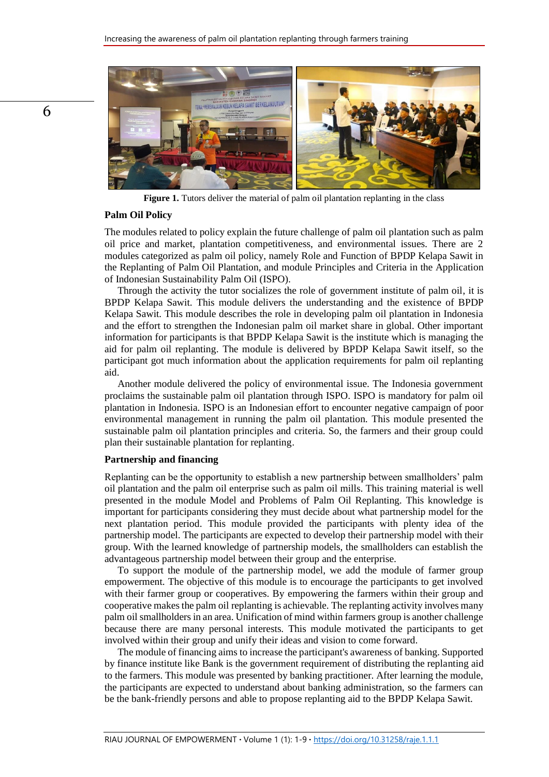

**Figure 1.** Tutors deliver the material of palm oil plantation replanting in the class

#### **Palm Oil Policy**

The modules related to policy explain the future challenge of palm oil plantation such as palm oil price and market, plantation competitiveness, and environmental issues. There are 2 modules categorized as palm oil policy, namely Role and Function of BPDP Kelapa Sawit in the Replanting of Palm Oil Plantation, and module Principles and Criteria in the Application of Indonesian Sustainability Palm Oil (ISPO).

Through the activity the tutor socializes the role of government institute of palm oil, it is BPDP Kelapa Sawit. This module delivers the understanding and the existence of BPDP Kelapa Sawit. This module describes the role in developing palm oil plantation in Indonesia and the effort to strengthen the Indonesian palm oil market share in global. Other important information for participants is that BPDP Kelapa Sawit is the institute which is managing the aid for palm oil replanting. The module is delivered by BPDP Kelapa Sawit itself, so the participant got much information about the application requirements for palm oil replanting aid.

Another module delivered the policy of environmental issue. The Indonesia government proclaims the sustainable palm oil plantation through ISPO. ISPO is mandatory for palm oil plantation in Indonesia. ISPO is an Indonesian effort to encounter negative campaign of poor environmental management in running the palm oil plantation. This module presented the sustainable palm oil plantation principles and criteria. So, the farmers and their group could plan their sustainable plantation for replanting.

#### **Partnership and financing**

Replanting can be the opportunity to establish a new partnership between smallholders' palm oil plantation and the palm oil enterprise such as palm oil mills. This training material is well presented in the module Model and Problems of Palm Oil Replanting. This knowledge is important for participants considering they must decide about what partnership model for the next plantation period. This module provided the participants with plenty idea of the partnership model. The participants are expected to develop their partnership model with their group. With the learned knowledge of partnership models, the smallholders can establish the advantageous partnership model between their group and the enterprise.

To support the module of the partnership model, we add the module of farmer group empowerment. The objective of this module is to encourage the participants to get involved with their farmer group or cooperatives. By empowering the farmers within their group and cooperative makes the palm oil replanting is achievable. The replanting activity involves many palm oil smallholders in an area. Unification of mind within farmers group is another challenge because there are many personal interests. This module motivated the participants to get involved within their group and unify their ideas and vision to come forward.

The module of financing aims to increase the participant's awareness of banking. Supported by finance institute like Bank is the government requirement of distributing the replanting aid to the farmers. This module was presented by banking practitioner. After learning the module, the participants are expected to understand about banking administration, so the farmers can be the bank-friendly persons and able to propose replanting aid to the BPDP Kelapa Sawit.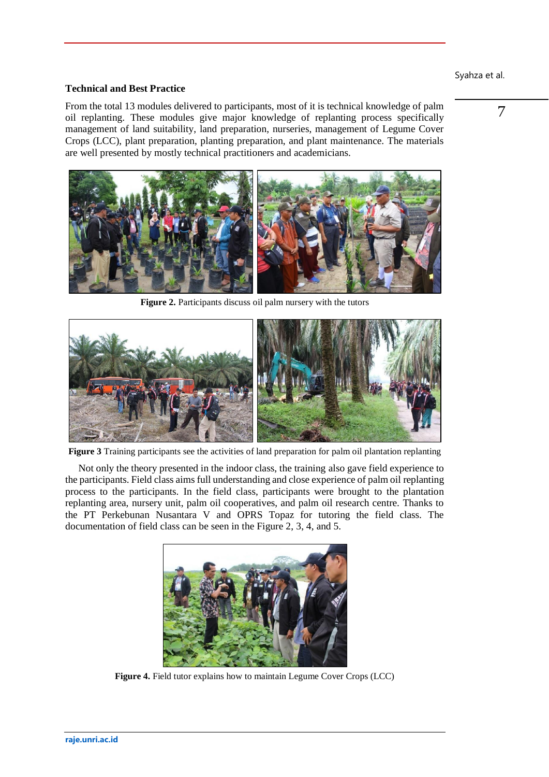## Syahza et al.

## **Technical and Best Practice**

From the total 13 modules delivered to participants, most of it is technical knowledge of palm oil replanting. These modules give major knowledge of replanting process specifically management of land suitability, land preparation, nurseries, management of Legume Cover Crops (LCC), plant preparation, planting preparation, and plant maintenance. The materials are well presented by mostly technical practitioners and academicians.



**Figure 2.** Participants discuss oil palm nursery with the tutors



**Figure 3** Training participants see the activities of land preparation for palm oil plantation replanting

Not only the theory presented in the indoor class, the training also gave field experience to the participants. Field class aims full understanding and close experience of palm oil replanting process to the participants. In the field class, participants were brought to the plantation replanting area, nursery unit, palm oil cooperatives, and palm oil research centre. Thanks to the PT Perkebunan Nusantara V and OPRS Topaz for tutoring the field class. The documentation of field class can be seen in the Figure 2, 3, 4, and 5.



**Figure 4.** Field tutor explains how to maintain Legume Cover Crops (LCC)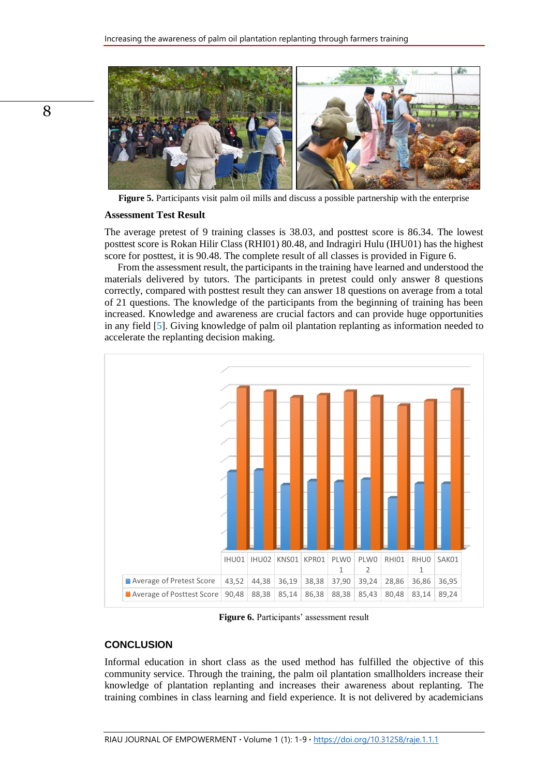

**Figure 5.** Participants visit palm oil mills and discuss a possible partnership with the enterprise

#### **Assessment Test Result**

The average pretest of 9 training classes is 38.03, and posttest score is 86.34. The lowest posttest score is Rokan Hilir Class (RHI01) 80.48, and Indragiri Hulu (IHU01) has the highest score for posttest, it is 90.48. The complete result of all classes is provided in Figure 6.

From the assessment result, the participants in the training have learned and understood the materials delivered by tutors. The participants in pretest could only answer 8 questions correctly, compared with posttest result they can answer 18 questions on average from a total of 21 questions. The knowledge of the participants from the beginning of training has been increased. Knowledge and awareness are crucial factors and can provide huge opportunities in any field [\[5\]](#page-8-7). Giving knowledge of palm oil plantation replanting as information needed to accelerate the replanting decision making.



**Figure 6.** Participants' assessment result

## **CONCLUSION**

Informal education in short class as the used method has fulfilled the objective of this community service. Through the training, the palm oil plantation smallholders increase their knowledge of plantation replanting and increases their awareness about replanting. The training combines in class learning and field experience. It is not delivered by academicians